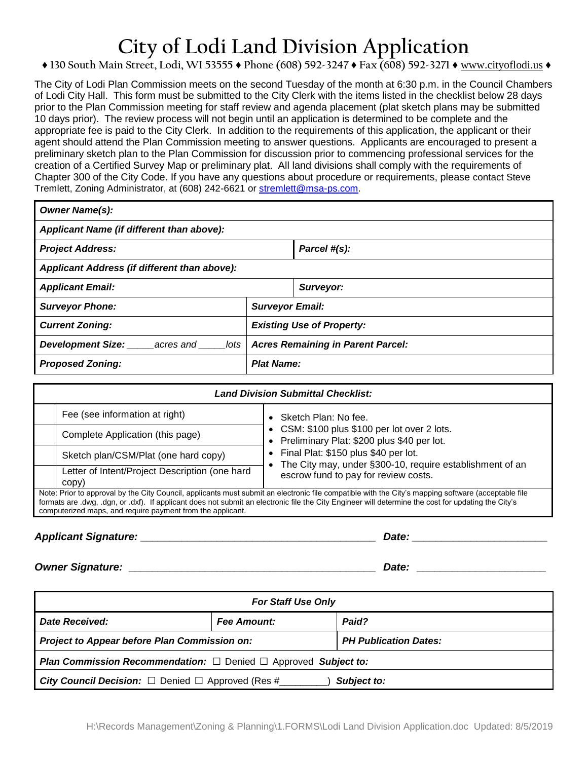# **City of Lodi Land Division Application**

# **♦ 130 South Main Street, Lodi, WI 53555 ♦ Phone (608) 592-3247 ♦ Fax (608) 592-3271 ♦** www.cityoflodi.us **♦**

The City of Lodi Plan Commission meets on the second Tuesday of the month at 6:30 p.m. in the Council Chambers of Lodi City Hall. This form must be submitted to the City Clerk with the items listed in the checklist below 28 days prior to the Plan Commission meeting for staff review and agenda placement (plat sketch plans may be submitted 10 days prior). The review process will not begin until an application is determined to be complete and the appropriate fee is paid to the City Clerk. In addition to the requirements of this application, the applicant or their agent should attend the Plan Commission meeting to answer questions. Applicants are encouraged to present a preliminary sketch plan to the Plan Commission for discussion prior to commencing professional services for the creation of a Certified Survey Map or preliminary plat. All land divisions shall comply with the requirements of Chapter 300 of the City Code. If you have any questions about procedure or requirements, please contact Steve Tremlett, Zoning Administrator, at (608) 242-6621 or [stremlett@msa-ps.com.](mailto:stremlett@msa-ps.com)

| <b>Owner Name(s):</b>                         |                                          |              |  |  |
|-----------------------------------------------|------------------------------------------|--------------|--|--|
| Applicant Name (if different than above):     |                                          |              |  |  |
| <b>Project Address:</b>                       |                                          | Parcel #(s): |  |  |
| Applicant Address (if different than above):  |                                          |              |  |  |
| <b>Applicant Email:</b>                       |                                          | Surveyor:    |  |  |
| <b>Surveyor Phone:</b>                        | <b>Surveyor Email:</b>                   |              |  |  |
| <b>Current Zoning:</b>                        | <b>Existing Use of Property:</b>         |              |  |  |
| <b>Development Size:</b><br>acres and<br>lots | <b>Acres Remaining in Parent Parcel:</b> |              |  |  |
| <b>Proposed Zoning:</b>                       | <b>Plat Name:</b>                        |              |  |  |

| <b>Land Division Submittal Checklist:</b>                                                                                                                                                                                                                                                                                                                                |                                                |                                                                                                    |  |  |
|--------------------------------------------------------------------------------------------------------------------------------------------------------------------------------------------------------------------------------------------------------------------------------------------------------------------------------------------------------------------------|------------------------------------------------|----------------------------------------------------------------------------------------------------|--|--|
|                                                                                                                                                                                                                                                                                                                                                                          | Fee (see information at right)                 | • Sketch Plan: No fee.                                                                             |  |  |
|                                                                                                                                                                                                                                                                                                                                                                          | Complete Application (this page)               | • CSM: \$100 plus \$100 per lot over 2 lots.<br>• Preliminary Plat: \$200 plus \$40 per lot.       |  |  |
|                                                                                                                                                                                                                                                                                                                                                                          | Sketch plan/CSM/Plat (one hard copy)           | • Final Plat: \$150 plus \$40 per lot.<br>The City may, under §300-10, require establishment of an |  |  |
| copy)                                                                                                                                                                                                                                                                                                                                                                    | Letter of Intent/Project Description (one hard | escrow fund to pay for review costs.                                                               |  |  |
| Note: Prior to approval by the City Council, applicants must submit an electronic file compatible with the City's mapping software (acceptable file<br>formats are .dwg, .dgn, or .dxf). If applicant does not submit an electronic file the City Engineer will determine the cost for updating the City's<br>computerized maps, and require payment from the applicant. |                                                |                                                                                                    |  |  |

## *Applicant Signature: \_\_\_\_\_\_\_\_\_\_\_\_\_\_\_\_\_\_\_\_\_\_\_\_\_\_\_\_\_\_\_\_\_\_\_\_\_\_\_\_ Date: \_\_\_\_\_\_\_\_\_\_\_\_\_\_\_\_\_\_\_\_\_\_\_*

*Owner Signature: \_\_\_\_\_\_\_\_\_\_\_\_\_\_\_\_\_\_\_\_\_\_\_\_\_\_\_\_\_\_\_\_\_\_\_\_\_\_\_\_\_\_ Date: \_\_\_\_\_\_\_\_\_\_\_\_\_\_\_\_\_\_\_\_\_\_*

| <b>For Staff Use Only</b>                                                         |                    |                              |  |  |
|-----------------------------------------------------------------------------------|--------------------|------------------------------|--|--|
| Date Received:                                                                    | <b>Fee Amount:</b> | Paid?                        |  |  |
| Project to Appear before Plan Commission on:                                      |                    | <b>PH Publication Dates:</b> |  |  |
| <b>Plan Commission Recommendation:</b> $\Box$ Denied $\Box$ Approved Subject to:  |                    |                              |  |  |
| <b>City Council Decision:</b> $\Box$ Denied $\Box$ Approved (Res #<br>Subject to: |                    |                              |  |  |